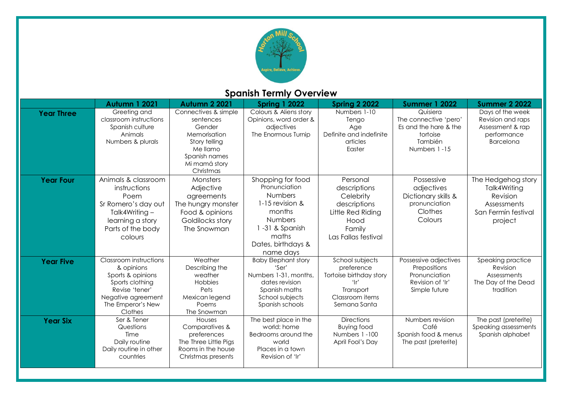

# **Spanish Termly Overview**

|                   | <b>Autumn 1 2021</b>                                                                                                                                 | <b>Autumn 2 2021</b>                                                                                                                    | <b>Spring 1 2022</b>                                                                                                                                       | <b>Spring 2 2022</b>                                                                                                | <b>Summer 1 2022</b>                                                                              | <b>Summer 2 2022</b>                                                                            |
|-------------------|------------------------------------------------------------------------------------------------------------------------------------------------------|-----------------------------------------------------------------------------------------------------------------------------------------|------------------------------------------------------------------------------------------------------------------------------------------------------------|---------------------------------------------------------------------------------------------------------------------|---------------------------------------------------------------------------------------------------|-------------------------------------------------------------------------------------------------|
| <b>Year Three</b> | Greeting and<br>classroom instructions<br>Spanish culture<br>Animals<br>Numbers & plurals                                                            | Connectives & simple<br>sentences<br>Gender<br>Memorisation<br>Story telling<br>Me llamo<br>Spanish names<br>Mi mamá story<br>Christmas | Colours & Aliens story<br>Opinions, word order &<br>adjectives<br>The Enormous Turnip                                                                      | Numbers 1-10<br>Tengo<br>Age<br>Definite and indefinite<br>articles<br>Easter                                       | Quisiera<br>The connective 'pero'<br>Es and the hare & the<br>tortoise<br>También<br>Numbers 1-15 | Days of the week<br>Revision and raps<br>Assessment & rap<br>performance<br><b>Barcelona</b>    |
| <b>Year Four</b>  | Animals & classroom<br>instructions<br>Poem<br>Sr Romero's day out<br>Talk4Writing-<br>learning a story<br>Parts of the body<br>colours              | Monsters<br>Adjective<br>agreements<br>The hungry monster<br>Food & opinions<br>Goldilocks story<br>The Snowman                         | Shopping for food<br>Pronunciation<br><b>Numbers</b><br>1-15 revision &<br>months<br>Numbers<br>1-31 & Spanish<br>maths<br>Dates, birthdays &<br>name days | Personal<br>descriptions<br>Celebrity<br>descriptions<br>Little Red Riding<br>Hood<br>Family<br>Las Fallas festival | Possessive<br>adjectives<br>Dictionary skills &<br>pronunciation<br>Clothes<br>Colours            | The Hedgehog story<br>Talk4Writing<br>Revision<br>Assessments<br>San Fermín festival<br>project |
| <b>Year Five</b>  | Classroom instructions<br>& opinions<br>Sports & opinions<br>Sports clothing<br>Revise 'tener'<br>Negative agreement<br>The Emperor's New<br>Clothes | Weather<br>Describing the<br>weather<br>Hobbies<br>Pets<br>Mexican legend<br>Poems<br>The Snowman                                       | <b>Baby Elephant story</b><br>'Ser'<br>Numbers 1-31, months.<br>dates revision<br>Spanish maths<br>School subjects<br>Spanish schools                      | School subjects<br>preference<br>Tortoise birthday story<br>ʻIr'<br>Transport<br>Classroom items<br>Semana Santa    | Possessive adjectives<br>Prepositions<br>Pronunciation<br>Revision of 'Ir'<br>Simple future       | Speaking practice<br>Revision<br>Assessments<br>The Day of the Dead<br>tradition                |
| <b>Year Six</b>   | Ser & Tener<br>Questions<br>Time<br>Daily routine<br>Daily routine in other<br>countries                                                             | Houses<br>Comparatives &<br>preferences<br>The Three Little Pigs<br>Rooms in the house<br>Christmas presents                            | The best place in the<br>world: home<br>Bedrooms around the<br>world<br>Places in a town<br>Revision of 'Ir'                                               | <b>Directions</b><br>Buying food<br>Numbers 1-100<br>April Fool's Day                                               | Numbers revision<br>Café<br>Spanish food & menus<br>The past (preterite)                          | The past (preterite)<br>Speaking assessments<br>Spanish alphabet                                |